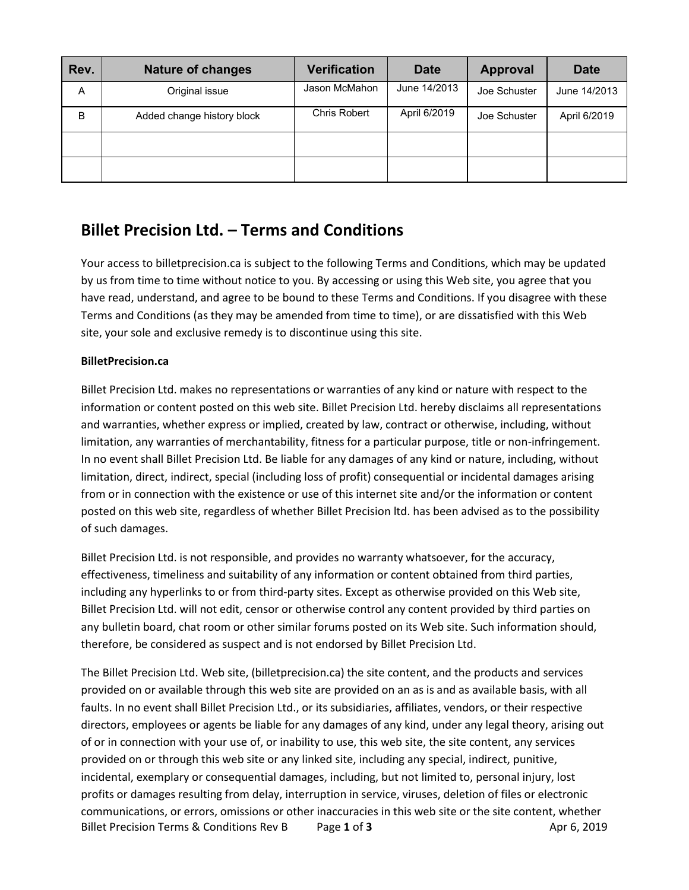| Rev. | <b>Nature of changes</b>   | <b>Verification</b> | <b>Date</b>  | <b>Approval</b> | <b>Date</b>  |
|------|----------------------------|---------------------|--------------|-----------------|--------------|
| A    | Original issue             | Jason McMahon       | June 14/2013 | Joe Schuster    | June 14/2013 |
| B    | Added change history block | Chris Robert        | April 6/2019 | Joe Schuster    | April 6/2019 |
|      |                            |                     |              |                 |              |
|      |                            |                     |              |                 |              |

# **Billet Precision Ltd. – Terms and Conditions**

Your access to billetprecision.ca is subject to the following Terms and Conditions, which may be updated by us from time to time without notice to you. By accessing or using this Web site, you agree that you have read, understand, and agree to be bound to these Terms and Conditions. If you disagree with these Terms and Conditions (as they may be amended from time to time), or are dissatisfied with this Web site, your sole and exclusive remedy is to discontinue using this site.

#### **BilletPrecision.ca**

Billet Precision Ltd. makes no representations or warranties of any kind or nature with respect to the information or content posted on this web site. Billet Precision Ltd. hereby disclaims all representations and warranties, whether express or implied, created by law, contract or otherwise, including, without limitation, any warranties of merchantability, fitness for a particular purpose, title or non-infringement. In no event shall Billet Precision Ltd. Be liable for any damages of any kind or nature, including, without limitation, direct, indirect, special (including loss of profit) consequential or incidental damages arising from or in connection with the existence or use of this internet site and/or the information or content posted on this web site, regardless of whether Billet Precision ltd. has been advised as to the possibility of such damages.

Billet Precision Ltd. is not responsible, and provides no warranty whatsoever, for the accuracy, effectiveness, timeliness and suitability of any information or content obtained from third parties, including any hyperlinks to or from third-party sites. Except as otherwise provided on this Web site, Billet Precision Ltd. will not edit, censor or otherwise control any content provided by third parties on any bulletin board, chat room or other similar forums posted on its Web site. Such information should, therefore, be considered as suspect and is not endorsed by Billet Precision Ltd.

Billet Precision Terms & Conditions Rev B Page 1 of 3 Apr 6, 2019 The Billet Precision Ltd. Web site, (billetprecision.ca) the site content, and the products and services provided on or available through this web site are provided on an as is and as available basis, with all faults. In no event shall Billet Precision Ltd., or its subsidiaries, affiliates, vendors, or their respective directors, employees or agents be liable for any damages of any kind, under any legal theory, arising out of or in connection with your use of, or inability to use, this web site, the site content, any services provided on or through this web site or any linked site, including any special, indirect, punitive, incidental, exemplary or consequential damages, including, but not limited to, personal injury, lost profits or damages resulting from delay, interruption in service, viruses, deletion of files or electronic communications, or errors, omissions or other inaccuracies in this web site or the site content, whether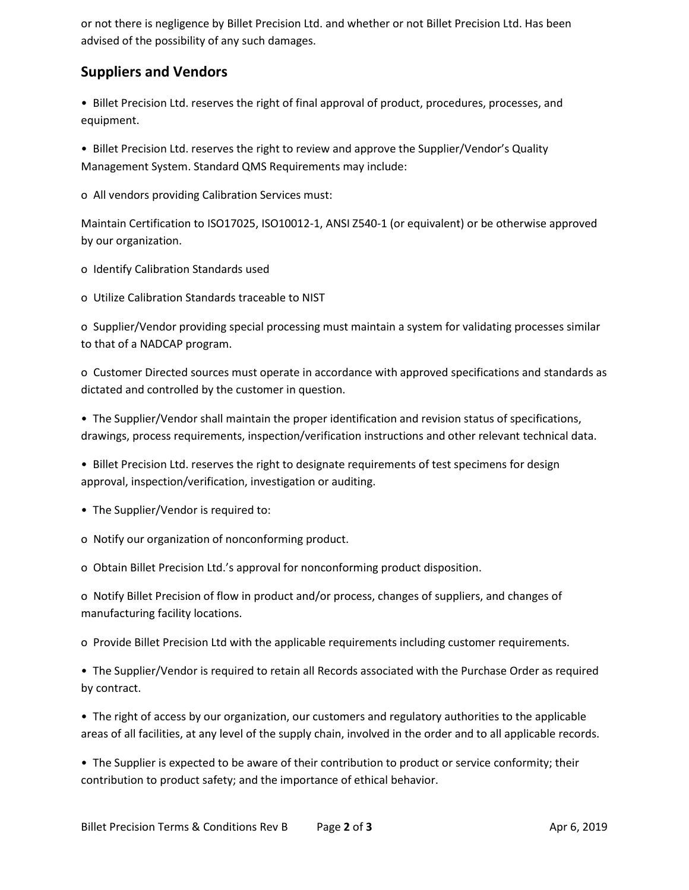or not there is negligence by Billet Precision Ltd. and whether or not Billet Precision Ltd. Has been advised of the possibility of any such damages.

### **Suppliers and Vendors**

• Billet Precision Ltd. reserves the right of final approval of product, procedures, processes, and equipment.

• Billet Precision Ltd. reserves the right to review and approve the Supplier/Vendor's Quality Management System. Standard QMS Requirements may include:

o All vendors providing Calibration Services must:

Maintain Certification to ISO17025, ISO10012-1, ANSI Z540-1 (or equivalent) or be otherwise approved by our organization.

- o Identify Calibration Standards used
- o Utilize Calibration Standards traceable to NIST

o Supplier/Vendor providing special processing must maintain a system for validating processes similar to that of a NADCAP program.

o Customer Directed sources must operate in accordance with approved specifications and standards as dictated and controlled by the customer in question.

• The Supplier/Vendor shall maintain the proper identification and revision status of specifications, drawings, process requirements, inspection/verification instructions and other relevant technical data.

• Billet Precision Ltd. reserves the right to designate requirements of test specimens for design approval, inspection/verification, investigation or auditing.

• The Supplier/Vendor is required to:

o Notify our organization of nonconforming product.

o Obtain Billet Precision Ltd.'s approval for nonconforming product disposition.

o Notify Billet Precision of flow in product and/or process, changes of suppliers, and changes of manufacturing facility locations.

o Provide Billet Precision Ltd with the applicable requirements including customer requirements.

• The Supplier/Vendor is required to retain all Records associated with the Purchase Order as required by contract.

• The right of access by our organization, our customers and regulatory authorities to the applicable areas of all facilities, at any level of the supply chain, involved in the order and to all applicable records.

• The Supplier is expected to be aware of their contribution to product or service conformity; their contribution to product safety; and the importance of ethical behavior.